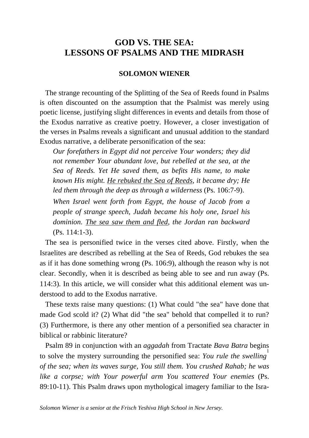## **GOD VS. THE SEA: LESSONS OF PSALMS AND THE MIDRASH**

## **SOLOMON WIENER**

 The strange recounting of the Splitting of the Sea of Reeds found in Psalms is often discounted on the assumption that the Psalmist was merely using poetic license, justifying slight differences in events and details from those of the Exodus narrative as creative poetry. However, a closer investigation of the verses in Psalms reveals a significant and unusual addition to the standard Exodus narrative, a deliberate personification of the sea:

*Our forefathers in Egypt did not perceive Your wonders; they did not remember Your abundant love, but rebelled at the sea, at the Sea of Reeds. Yet He saved them, as befits His name, to make known His might. He rebuked the Sea of Reeds, it became dry; He led them through the deep as through a wilderness* (Ps. 106:7-9). *When Israel went forth from Egypt, the house of Jacob from a people of strange speech, Judah became his holy one, Israel his dominion. The sea saw them and fled, the Jordan ran backward* (Ps. 114:1-3).

 The sea is personified twice in the verses cited above. Firstly, when the Israelites are described as rebelling at the Sea of Reeds, God rebukes the sea as if it has done something wrong (Ps. 106:9), although the reason why is not clear. Secondly, when it is described as being able to see and run away (Ps. 114:3). In this article, we will consider what this additional element was understood to add to the Exodus narrative.

 These texts raise many questions: (1) What could "the sea" have done that made God scold it? (2) What did "the sea" behold that compelled it to run? (3) Furthermore, is there any other mention of a personified sea character in biblical or rabbinic literature?

 Psalm 89 in conjunction with an *aggadah* from Tractate *Bava Batra* begins to solve the mystery surrounding the personified sea: *You rule the swelling*<sup>1</sup> *of the sea; when its waves surge, You still them. You crushed Rahab; he was like a corpse; with Your powerful arm You scattered Your enemies* (Ps. 89:10-11). This Psalm draws upon mythological imagery familiar to the Isra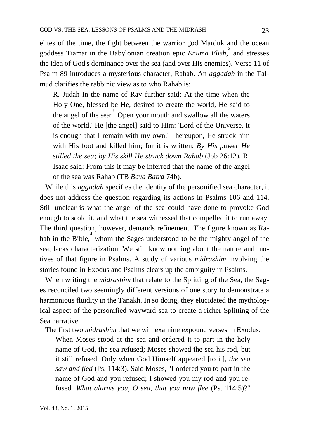elites of the time, the fight between the warrior god Marduk and the ocean goddess Tiamat in the Babylonian creation epic *Enuma Elish*, and stresses the idea of God's dominance over the sea (and over His enemies). Verse 11 of Psalm 89 introduces a mysterious character, Rahab. An *aggadah* in the Talmud clarifies the rabbinic view as to who Rahab is:

R. Judah in the name of Rav further said: At the time when the Holy One, blessed be He, desired to create the world, He said to the angel of the sea: 3 'Open your mouth and swallow all the waters of the world.' He [the angel] said to Him: 'Lord of the Universe, it is enough that I remain with my own.' Thereupon, He struck him with His foot and killed him; for it is written: *By His power He stilled the sea; by His skill He struck down Rahab* (Job 26:12). R. Isaac said: From this it may be inferred that the name of the angel of the sea was Rahab (TB *Bava Batra* 74b).

 While this *aggadah* specifies the identity of the personified sea character, it does not address the question regarding its actions in Psalms 106 and 114. Still unclear is what the angel of the sea could have done to provoke God enough to scold it, and what the sea witnessed that compelled it to run away. The third question, however, demands refinement. The figure known as Rahab in the Bible,<sup>4</sup> whom the Sages understood to be the mighty angel of the sea, lacks characterization. We still know nothing about the nature and motives of that figure in Psalms. A study of various *midrashim* involving the stories found in Exodus and Psalms clears up the ambiguity in Psalms.

 When writing the *midrashim* that relate to the Splitting of the Sea, the Sages reconciled two seemingly different versions of one story to demonstrate a harmonious fluidity in the Tanakh. In so doing, they elucidated the mythological aspect of the personified wayward sea to create a richer Splitting of the Sea narrative.

The first two *midrashim* that we will examine expound verses in Exodus:

When Moses stood at the sea and ordered it to part in the holy name of God, the sea refused; Moses showed the sea his rod, but it still refused. Only when God Himself appeared [to it], *the sea saw and fled* (Ps. 114:3). Said Moses, "I ordered you to part in the name of God and you refused; I showed you my rod and you refused. *What alarms you, O sea, that you now flee* (Ps. 114:5)?"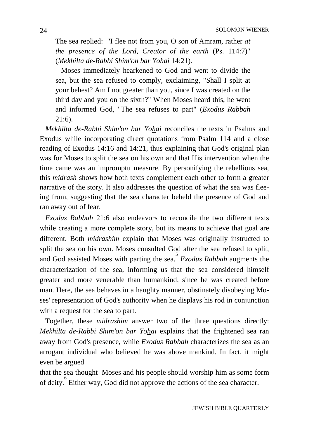The sea replied: "I flee not from you, O son of Amram, rather *at the presence of the Lord, Creator of the earth (Ps. 114:7)"* (*Mekhilta de-Rabbi Shim′on bar Yohai* 14:21).

 Moses immediately hearkened to God and went to divide the sea, but the sea refused to comply, exclaiming, "Shall I split at your behest? Am I not greater than you, since I was created on the third day and you on the sixth?" When Moses heard this, he went and informed God, "The sea refuses to part" (*Exodus Rabbah*  $21:6$ ).

 *Mekhilta de-Rabbi Shim′on bar Yohai* reconciles the texts in Psalms and Exodus while incorporating direct quotations from Psalm 114 and a close reading of Exodus 14:16 and 14:21, thus explaining that God's original plan was for Moses to split the sea on his own and that His intervention when the time came was an impromptu measure. By personifying the rebellious sea, this *midrash* shows how both texts complement each other to form a greater narrative of the story. It also addresses the question of what the sea was fleeing from, suggesting that the sea character beheld the presence of God and ran away out of fear.

 *Exodus Rabbah* 21:6 also endeavors to reconcile the two different texts while creating a more complete story, but its means to achieve that goal are different. Both *midrashim* explain that Moses was originally instructed to split the sea on his own. Moses consulted God after the sea refused to split, and God assisted Moses with parting the sea.<sup>5</sup> *Exodus Rabbah* augments the characterization of the sea, informing us that the sea considered himself greater and more venerable than humankind, since he was created before man. Here, the sea behaves in a haughty manner, obstinately disobeying Moses' representation of God's authority when he displays his rod in conjunction with a request for the sea to part.

 Together, these *midrashim* answer two of the three questions directly: *Mekhilta de-Rabbi Shim′on bar Yohai* explains that the frightened sea ran away from God's presence, while *Exodus Rabbah* characterizes the sea as an arrogant individual who believed he was above mankind. In fact, it might even be argued

that the sea thought Moses and his people should worship him as some form of deity.<sup>6</sup> Either way, God did not approve the actions of the sea character.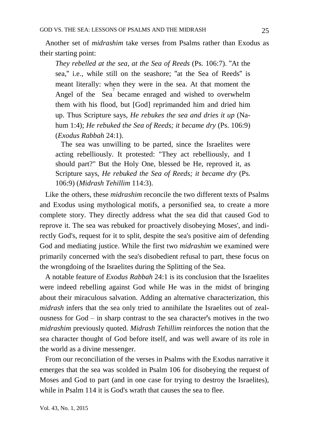Another set of *midrashim* take verses from Psalms rather than Exodus as their starting point:

*They rebelled at the sea, at the Sea of Reeds* (Ps. 106:7). "At the sea," i.e., while still on the seashore; "at the Sea of Reeds" is meant literally: when they were in the sea. At that moment the Angel of the  $\int_0^7$  became enraged and wished to overwhelm them with his flood, but [God] reprimanded him and dried him up. Thus Scripture says, *He rebukes the sea and dries it up* (Nahum 1:4); *He rebuked the Sea of Reeds; it became dry* (Ps. 106:9) (*Exodus Rabbah* 24:1).

 The sea was unwilling to be parted, since the Israelites were acting rebelliously. It protested: "They act rebelliously, and I should part?" But the Holy One, blessed be He, reproved it, as Scripture says, *He rebuked the Sea of Reeds; it became dry* (Ps. 106:9) (*Midrash Tehillim* 114:3).

 Like the others, these *midrashim* reconcile the two different texts of Psalms and Exodus using mythological motifs, a personified sea, to create a more complete story. They directly address what the sea did that caused God to reprove it. The sea was rebuked for proactively disobeying Moses', and indirectly God's, request for it to split, despite the sea's positive aim of defending God and mediating justice. While the first two *midrashim* we examined were primarily concerned with the sea's disobedient refusal to part, these focus on the wrongdoing of the Israelites during the Splitting of the Sea.

 A notable feature of *Exodus Rabbah* 24:1 is its conclusion that the Israelites were indeed rebelling against God while He was in the midst of bringing about their miraculous salvation. Adding an alternative characterization, this *midrash* infers that the sea only tried to annihilate the Israelites out of zealousness for  $God - in sharp contrast to the sea character's motives in the two$ *midrashim* previously quoted. *Midrash Tehillim* reinforces the notion that the sea character thought of God before itself, and was well aware of its role in the world as a divine messenger.

 From our reconciliation of the verses in Psalms with the Exodus narrative it emerges that the sea was scolded in Psalm 106 for disobeying the request of Moses and God to part (and in one case for trying to destroy the Israelites), while in Psalm 114 it is God's wrath that causes the sea to flee.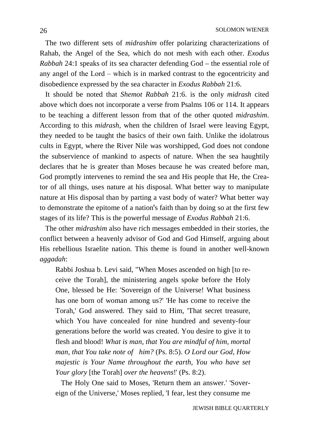The two different sets of *midrashim* offer polarizing characterizations of Rahab, the Angel of the Sea, which do not mesh with each other. *Exodus Rabbah* 24:1 speaks of its sea character defending God – the essential role of any angel of the Lord – which is in marked contrast to the egocentricity and disobedience expressed by the sea character in *Exodus Rabbah* 21:6.

 It should be noted that *Shemot Rabbah* 21:6. is the only *midrash* cited above which does not incorporate a verse from Psalms 106 or 114. It appears to be teaching a different lesson from that of the other quoted *midrashim*. According to this *midrash*, when the children of Israel were leaving Egypt, they needed to be taught the basics of their own faith. Unlike the idolatrous cults in Egypt, where the River Nile was worshipped, God does not condone the subservience of mankind to aspects of nature. When the sea haughtily declares that he is greater than Moses because he was created before man, God promptly intervenes to remind the sea and His people that He, the Creator of all things, uses nature at his disposal. What better way to manipulate nature at His disposal than by parting a vast body of water? What better way to demonstrate the epitome of a nation's faith than by doing so at the first few stages of its life? This is the powerful message of *Exodus Rabbah* 21:6.

 The other *midrashim* also have rich messages embedded in their stories, the conflict between a heavenly advisor of God and God Himself, arguing about His rebellious Israelite nation. This theme is found in another well-known *aggadah*:

Rabbi Joshua b. Levi said, "When Moses ascended on high [to receive the Torah], the ministering angels spoke before the Holy One, blessed be He: 'Sovereign of the Universe! What business has one born of woman among us?' 'He has come to receive the Torah,' God answered. They said to Him, 'That secret treasure, which You have concealed for nine hundred and seventy-four generations before the world was created. You desire to give it to flesh and blood! *What is man, that You are mindful of him, mortal man, that You take note of him?* (Ps. 8:5). *O Lord our God, How majestic is Your Name throughout the earth, You who have set Your glory* [the Torah] *over the heavens*!' (Ps. 8:2).

 The Holy One said to Moses, 'Return them an answer.' 'Sovereign of the Universe,' Moses replied, 'I fear, lest they consume me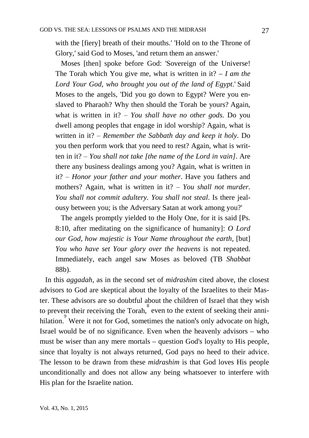with the [fiery] breath of their mouths.' 'Hold on to the Throne of Glory,' said God to Moses, 'and return them an answer.'

 Moses [then] spoke before God: 'Sovereign of the Universe! The Torah which You give me, what is written in it? – *I am the Lord Your God, who brought you out of the land of Egypt*.' Said Moses to the angels, 'Did you go down to Egypt? Were you enslaved to Pharaoh? Why then should the Torah be yours? Again, what is written in it? ‒ *You shall have no other gods*. Do you dwell among peoples that engage in idol worship? Again, what is written in it? ‒ *Remember the Sabbath day and keep it holy*. Do you then perform work that you need to rest? Again, what is written in it? ‒ *You shall not take [the name of the Lord in vain]*. Are there any business dealings among you? Again, what is written in it? ‒ *Honor your father and your mother*. Have you fathers and mothers? Again, what is written in it? – You shall not murder. *You shall not commit adultery. You shall not steal*. Is there jealousy between you; is the Adversary Satan at work among you?'

 The angels promptly yielded to the Holy One, for it is said [Ps. 8:10, after meditating on the significance of humanity]: *O Lord our God, how majestic is Your Name throughout the earth,* [but] *You who have set Your glory over the heavens* is not repeated. Immediately, each angel saw Moses as beloved (TB *Shabbat* 88b).

 In this *aggadah*, as in the second set of *midrashim* cited above, the closest advisors to God are skeptical about the loyalty of the Israelites to their Master. These advisors are so doubtful about the children of Israel that they wish to prevent their receiving the Torah,<sup>8</sup> even to the extent of seeking their annihilation.<sup>9</sup> Were it not for God, sometimes the nation's only advocate on high, Israel would be of no significance. Even when the heavenly advisors – who must be wiser than any mere mortals – question God's loyalty to His people, since that loyalty is not always returned, God pays no heed to their advice. The lesson to be drawn from these *midrashim* is that God loves His people unconditionally and does not allow any being whatsoever to interfere with His plan for the Israelite nation.